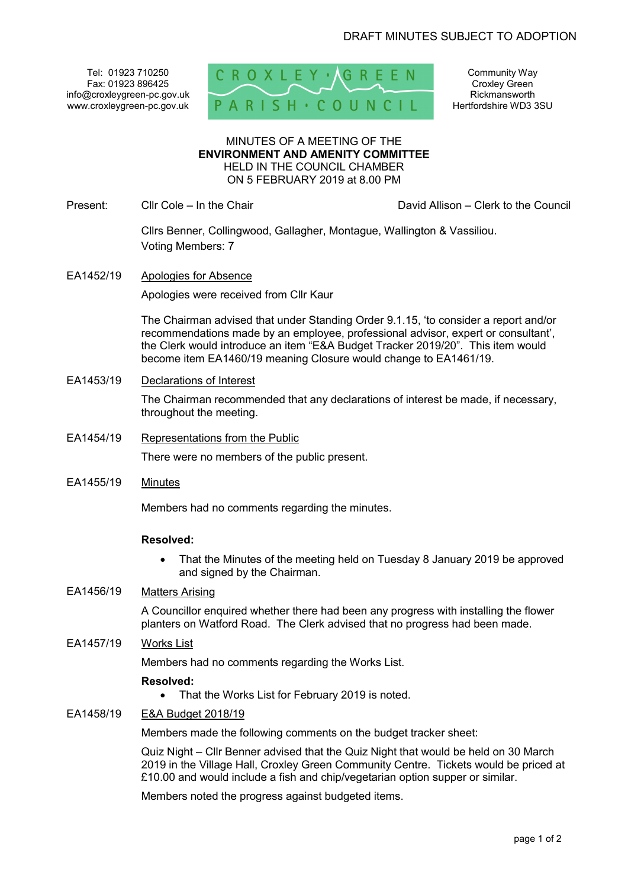Tel: 01923 710250 Fax: 01923 896425 info@croxleygreen-pc.gov.uk www.croxleygreen-pc.gov.uk



Community Way Croxley Green Rickmansworth Hertfordshire WD3 3SU

MINUTES OF A MEETING OF THE **ENVIRONMENT AND AMENITY COMMITTEE** HELD IN THE COUNCIL CHAMBER ON 5 FEBRUARY 2019 at 8.00 PM

Present: Cllr Cole – In the Chair David Allison – Clerk to the Council

 Cllrs Benner, Collingwood, Gallagher, Montague, Wallington & Vassiliou. Voting Members: 7

EA1452/19 Apologies for Absence

Apologies were received from Cllr Kaur

 The Chairman advised that under Standing Order 9.1.15, 'to consider a report and/or recommendations made by an employee, professional advisor, expert or consultant', the Clerk would introduce an item "E&A Budget Tracker 2019/20". This item would become item EA1460/19 meaning Closure would change to EA1461/19.

EA1453/19 Declarations of Interest

The Chairman recommended that any declarations of interest be made, if necessary, throughout the meeting.

EA1454/19 Representations from the Public

There were no members of the public present.

EA1455/19 Minutes

Members had no comments regarding the minutes.

#### **Resolved:**

 That the Minutes of the meeting held on Tuesday 8 January 2019 be approved and signed by the Chairman.

# EA1456/19 Matters Arising

A Councillor enquired whether there had been any progress with installing the flower planters on Watford Road. The Clerk advised that no progress had been made.

# EA1457/19 Works List

Members had no comments regarding the Works List.

#### **Resolved:**

• That the Works List for February 2019 is noted.

# EA1458/19 E&A Budget 2018/19

Members made the following comments on the budget tracker sheet:

Quiz Night – Cllr Benner advised that the Quiz Night that would be held on 30 March 2019 in the Village Hall, Croxley Green Community Centre. Tickets would be priced at £10.00 and would include a fish and chip/vegetarian option supper or similar.

Members noted the progress against budgeted items.